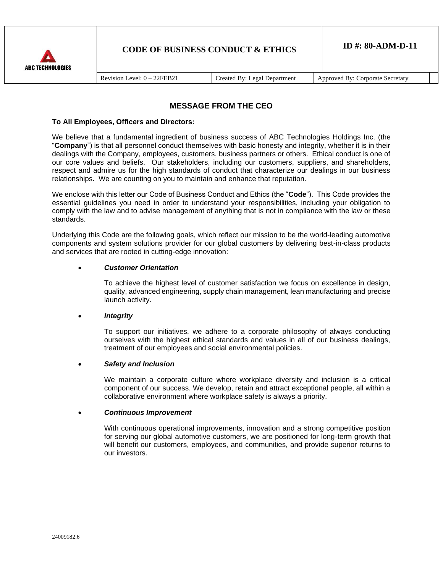

# **MESSAGE FROM THE CEO**

### **To All Employees, Officers and Directors:**

We believe that a fundamental ingredient of business success of ABC Technologies Holdings Inc. (the "**Company**") is that all personnel conduct themselves with basic honesty and integrity, whether it is in their dealings with the Company, employees, customers, business partners or others. Ethical conduct is one of our core values and beliefs. Our stakeholders, including our customers, suppliers, and shareholders, respect and admire us for the high standards of conduct that characterize our dealings in our business relationships. We are counting on you to maintain and enhance that reputation.

We enclose with this letter our Code of Business Conduct and Ethics (the "**Code**"). This Code provides the essential guidelines you need in order to understand your responsibilities, including your obligation to comply with the law and to advise management of anything that is not in compliance with the law or these standards.

Underlying this Code are the following goals, which reflect our mission to be the world-leading automotive components and system solutions provider for our global customers by delivering best-in-class products and services that are rooted in cutting-edge innovation:

### • *Customer Orientation*

To achieve the highest level of customer satisfaction we focus on excellence in design, quality, advanced engineering, supply chain management, lean manufacturing and precise launch activity.

### • *Integrity*

To support our initiatives, we adhere to a corporate philosophy of always conducting ourselves with the highest ethical standards and values in all of our business dealings, treatment of our employees and social environmental policies.

### • *Safety and Inclusion*

We maintain a corporate culture where workplace diversity and inclusion is a critical component of our success. We develop, retain and attract exceptional people, all within a collaborative environment where workplace safety is always a priority.

### • *Continuous Improvement*

With continuous operational improvements, innovation and a strong competitive position for serving our global automotive customers, we are positioned for long-term growth that will benefit our customers, employees, and communities, and provide superior returns to our investors.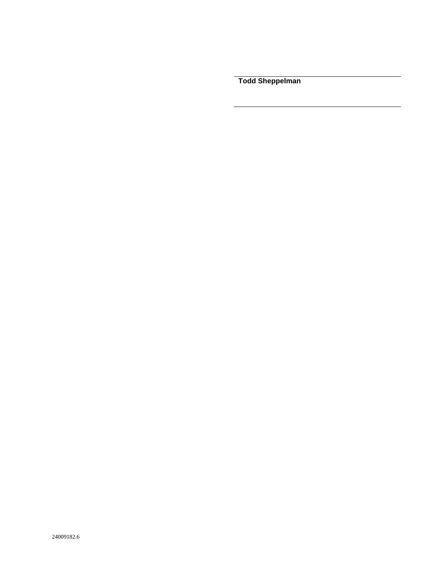**Todd Sheppelman**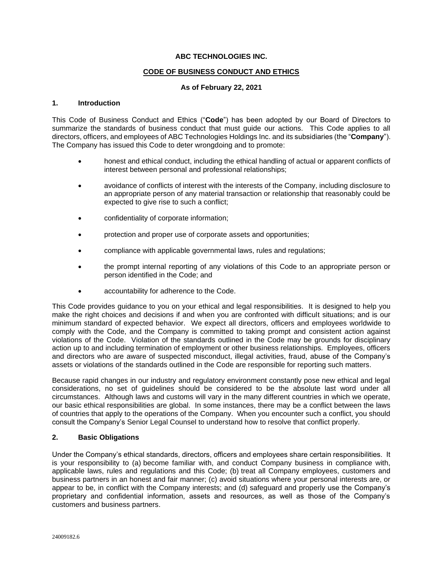## **ABC TECHNOLOGIES INC.**

## **CODE OF BUSINESS CONDUCT AND ETHICS**

## **As of February 22, 2021**

## **1. Introduction**

This Code of Business Conduct and Ethics ("**Code**") has been adopted by our Board of Directors to summarize the standards of business conduct that must guide our actions. This Code applies to all directors, officers, and employees of ABC Technologies Holdings Inc. and its subsidiaries (the "**Company**"). The Company has issued this Code to deter wrongdoing and to promote:

- honest and ethical conduct, including the ethical handling of actual or apparent conflicts of interest between personal and professional relationships;
- avoidance of conflicts of interest with the interests of the Company, including disclosure to an appropriate person of any material transaction or relationship that reasonably could be expected to give rise to such a conflict;
- confidentiality of corporate information;
- protection and proper use of corporate assets and opportunities;
- compliance with applicable governmental laws, rules and regulations;
- the prompt internal reporting of any violations of this Code to an appropriate person or person identified in the Code; and
- accountability for adherence to the Code.

This Code provides guidance to you on your ethical and legal responsibilities. It is designed to help you make the right choices and decisions if and when you are confronted with difficult situations; and is our minimum standard of expected behavior. We expect all directors, officers and employees worldwide to comply with the Code, and the Company is committed to taking prompt and consistent action against violations of the Code. Violation of the standards outlined in the Code may be grounds for disciplinary action up to and including termination of employment or other business relationships. Employees, officers and directors who are aware of suspected misconduct, illegal activities, fraud, abuse of the Company's assets or violations of the standards outlined in the Code are responsible for reporting such matters.

Because rapid changes in our industry and regulatory environment constantly pose new ethical and legal considerations, no set of guidelines should be considered to be the absolute last word under all circumstances. Although laws and customs will vary in the many different countries in which we operate, our basic ethical responsibilities are global. In some instances, there may be a conflict between the laws of countries that apply to the operations of the Company. When you encounter such a conflict, you should consult the Company's Senior Legal Counsel to understand how to resolve that conflict properly.

### **2. Basic Obligations**

Under the Company's ethical standards, directors, officers and employees share certain responsibilities. It is your responsibility to (a) become familiar with, and conduct Company business in compliance with, applicable laws, rules and regulations and this Code; (b) treat all Company employees, customers and business partners in an honest and fair manner; (c) avoid situations where your personal interests are, or appear to be, in conflict with the Company interests; and (d) safeguard and properly use the Company's proprietary and confidential information, assets and resources, as well as those of the Company's customers and business partners.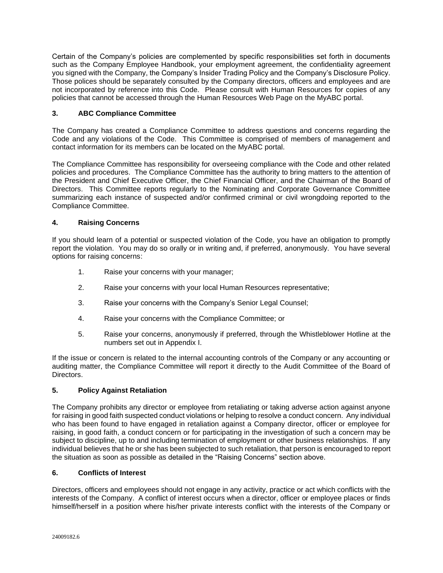Certain of the Company's policies are complemented by specific responsibilities set forth in documents such as the Company Employee Handbook, your employment agreement, the confidentiality agreement you signed with the Company, the Company's Insider Trading Policy and the Company's Disclosure Policy. Those polices should be separately consulted by the Company directors, officers and employees and are not incorporated by reference into this Code. Please consult with Human Resources for copies of any policies that cannot be accessed through the Human Resources Web Page on the MyABC portal.

# **3. ABC Compliance Committee**

The Company has created a Compliance Committee to address questions and concerns regarding the Code and any violations of the Code. This Committee is comprised of members of management and contact information for its members can be located on the MyABC portal.

The Compliance Committee has responsibility for overseeing compliance with the Code and other related policies and procedures. The Compliance Committee has the authority to bring matters to the attention of the President and Chief Executive Officer, the Chief Financial Officer, and the Chairman of the Board of Directors. This Committee reports regularly to the Nominating and Corporate Governance Committee summarizing each instance of suspected and/or confirmed criminal or civil wrongdoing reported to the Compliance Committee.

## **4. Raising Concerns**

If you should learn of a potential or suspected violation of the Code, you have an obligation to promptly report the violation. You may do so orally or in writing and, if preferred, anonymously. You have several options for raising concerns:

- 1. Raise your concerns with your manager;
- 2. Raise your concerns with your local Human Resources representative;
- 3. Raise your concerns with the Company's Senior Legal Counsel;
- 4. Raise your concerns with the Compliance Committee; or
- 5. Raise your concerns, anonymously if preferred, through the Whistleblower Hotline at the numbers set out in Appendix I.

If the issue or concern is related to the internal accounting controls of the Company or any accounting or auditing matter, the Compliance Committee will report it directly to the Audit Committee of the Board of Directors.

## **5. Policy Against Retaliation**

The Company prohibits any director or employee from retaliating or taking adverse action against anyone for raising in good faith suspected conduct violations or helping to resolve a conduct concern. Any individual who has been found to have engaged in retaliation against a Company director, officer or employee for raising, in good faith, a conduct concern or for participating in the investigation of such a concern may be subject to discipline, up to and including termination of employment or other business relationships. If any individual believes that he or she has been subjected to such retaliation, that person is encouraged to report the situation as soon as possible as detailed in the "Raising Concerns" section above.

## **6. Conflicts of Interest**

Directors, officers and employees should not engage in any activity, practice or act which conflicts with the interests of the Company. A conflict of interest occurs when a director, officer or employee places or finds himself/herself in a position where his/her private interests conflict with the interests of the Company or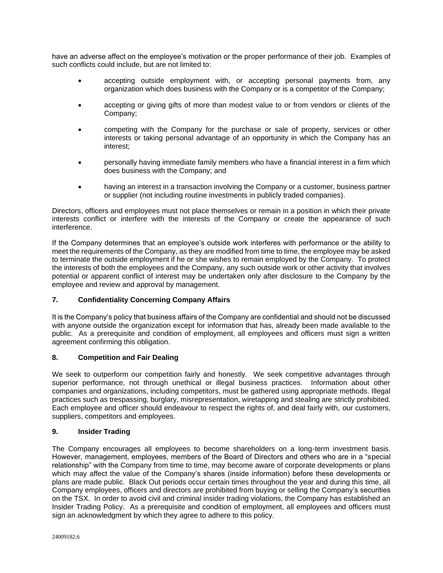have an adverse affect on the employee's motivation or the proper performance of their job. Examples of such conflicts could include, but are not limited to:

- accepting outside employment with, or accepting personal payments from, any organization which does business with the Company or is a competitor of the Company;
- accepting or giving gifts of more than modest value to or from vendors or clients of the Company;
- competing with the Company for the purchase or sale of property, services or other interests or taking personal advantage of an opportunity in which the Company has an interest;
- personally having immediate family members who have a financial interest in a firm which does business with the Company; and
- having an interest in a transaction involving the Company or a customer, business partner or supplier (not including routine investments in publicly traded companies).

Directors, officers and employees must not place themselves or remain in a position in which their private interests conflict or interfere with the interests of the Company or create the appearance of such interference.

If the Company determines that an employee's outside work interferes with performance or the ability to meet the requirements of the Company, as they are modified from time to time, the employee may be asked to terminate the outside employment if he or she wishes to remain employed by the Company. To protect the interests of both the employees and the Company, any such outside work or other activity that involves potential or apparent conflict of interest may be undertaken only after disclosure to the Company by the employee and review and approval by management.

## **7. Confidentiality Concerning Company Affairs**

It is the Company's policy that business affairs of the Company are confidential and should not be discussed with anyone outside the organization except for information that has, already been made available to the public. As a prerequisite and condition of employment, all employees and officers must sign a written agreement confirming this obligation.

## **8. Competition and Fair Dealing**

We seek to outperform our competition fairly and honestly. We seek competitive advantages through superior performance, not through unethical or illegal business practices. Information about other companies and organizations, including competitors, must be gathered using appropriate methods. Illegal practices such as trespassing, burglary, misrepresentation, wiretapping and stealing are strictly prohibited. Each employee and officer should endeavour to respect the rights of, and deal fairly with, our customers, suppliers, competitors and employees.

### **9. Insider Trading**

The Company encourages all employees to become shareholders on a long-term investment basis. However, management, employees, members of the Board of Directors and others who are in a "special relationship" with the Company from time to time, may become aware of corporate developments or plans which may affect the value of the Company's shares (inside information) before these developments or plans are made public. Black Out periods occur certain times throughout the year and during this time, all Company employees, officers and directors are prohibited from buying or selling the Company's securities on the TSX. In order to avoid civil and criminal insider trading violations, the Company has established an Insider Trading Policy. As a prerequisite and condition of employment, all employees and officers must sign an acknowledgment by which they agree to adhere to this policy.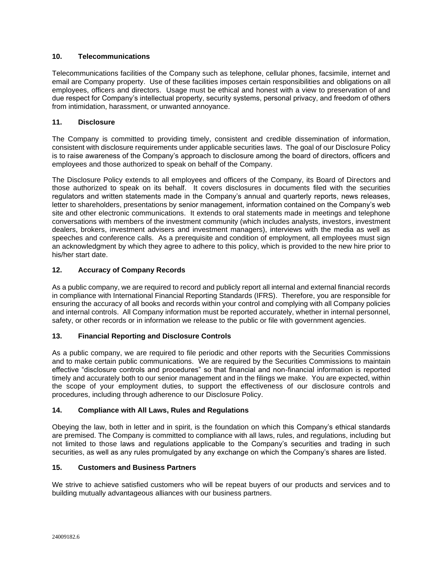## **10. Telecommunications**

Telecommunications facilities of the Company such as telephone, cellular phones, facsimile, internet and email are Company property. Use of these facilities imposes certain responsibilities and obligations on all employees, officers and directors. Usage must be ethical and honest with a view to preservation of and due respect for Company's intellectual property, security systems, personal privacy, and freedom of others from intimidation, harassment, or unwanted annoyance.

## **11. Disclosure**

The Company is committed to providing timely, consistent and credible dissemination of information, consistent with disclosure requirements under applicable securities laws. The goal of our Disclosure Policy is to raise awareness of the Company's approach to disclosure among the board of directors, officers and employees and those authorized to speak on behalf of the Company.

The Disclosure Policy extends to all employees and officers of the Company, its Board of Directors and those authorized to speak on its behalf. It covers disclosures in documents filed with the securities regulators and written statements made in the Company's annual and quarterly reports, news releases, letter to shareholders, presentations by senior management, information contained on the Company's web site and other electronic communications. It extends to oral statements made in meetings and telephone conversations with members of the investment community (which includes analysts, investors, investment dealers, brokers, investment advisers and investment managers), interviews with the media as well as speeches and conference calls. As a prerequisite and condition of employment, all employees must sign an acknowledgment by which they agree to adhere to this policy, which is provided to the new hire prior to his/her start date.

## **12. Accuracy of Company Records**

As a public company, we are required to record and publicly report all internal and external financial records in compliance with International Financial Reporting Standards (IFRS). Therefore, you are responsible for ensuring the accuracy of all books and records within your control and complying with all Company policies and internal controls. All Company information must be reported accurately, whether in internal personnel, safety, or other records or in information we release to the public or file with government agencies.

## **13. Financial Reporting and Disclosure Controls**

As a public company, we are required to file periodic and other reports with the Securities Commissions and to make certain public communications. We are required by the Securities Commissions to maintain effective "disclosure controls and procedures" so that financial and non-financial information is reported timely and accurately both to our senior management and in the filings we make. You are expected, within the scope of your employment duties, to support the effectiveness of our disclosure controls and procedures, including through adherence to our Disclosure Policy.

### **14. Compliance with All Laws, Rules and Regulations**

Obeying the law, both in letter and in spirit, is the foundation on which this Company's ethical standards are premised. The Company is committed to compliance with all laws, rules, and regulations, including but not limited to those laws and regulations applicable to the Company's securities and trading in such securities, as well as any rules promulgated by any exchange on which the Company's shares are listed.

### **15. Customers and Business Partners**

We strive to achieve satisfied customers who will be repeat buyers of our products and services and to building mutually advantageous alliances with our business partners.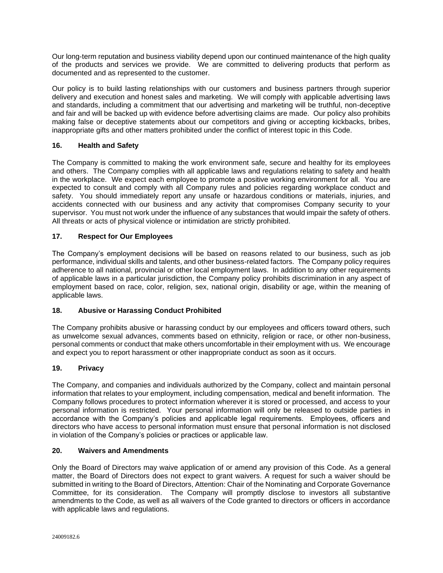Our long-term reputation and business viability depend upon our continued maintenance of the high quality of the products and services we provide. We are committed to delivering products that perform as documented and as represented to the customer.

Our policy is to build lasting relationships with our customers and business partners through superior delivery and execution and honest sales and marketing. We will comply with applicable advertising laws and standards, including a commitment that our advertising and marketing will be truthful, non-deceptive and fair and will be backed up with evidence before advertising claims are made. Our policy also prohibits making false or deceptive statements about our competitors and giving or accepting kickbacks, bribes, inappropriate gifts and other matters prohibited under the conflict of interest topic in this Code.

## **16. Health and Safety**

The Company is committed to making the work environment safe, secure and healthy for its employees and others. The Company complies with all applicable laws and regulations relating to safety and health in the workplace. We expect each employee to promote a positive working environment for all. You are expected to consult and comply with all Company rules and policies regarding workplace conduct and safety. You should immediately report any unsafe or hazardous conditions or materials, injuries, and accidents connected with our business and any activity that compromises Company security to your supervisor. You must not work under the influence of any substances that would impair the safety of others. All threats or acts of physical violence or intimidation are strictly prohibited.

## **17. Respect for Our Employees**

The Company's employment decisions will be based on reasons related to our business, such as job performance, individual skills and talents, and other business-related factors. The Company policy requires adherence to all national, provincial or other local employment laws. In addition to any other requirements of applicable laws in a particular jurisdiction, the Company policy prohibits discrimination in any aspect of employment based on race, color, religion, sex, national origin, disability or age, within the meaning of applicable laws.

# **18. Abusive or Harassing Conduct Prohibited**

The Company prohibits abusive or harassing conduct by our employees and officers toward others, such as unwelcome sexual advances, comments based on ethnicity, religion or race, or other non-business, personal comments or conduct that make others uncomfortable in their employment with us. We encourage and expect you to report harassment or other inappropriate conduct as soon as it occurs.

## **19. Privacy**

The Company, and companies and individuals authorized by the Company, collect and maintain personal information that relates to your employment, including compensation, medical and benefit information. The Company follows procedures to protect information wherever it is stored or processed, and access to your personal information is restricted. Your personal information will only be released to outside parties in accordance with the Company's policies and applicable legal requirements. Employees, officers and directors who have access to personal information must ensure that personal information is not disclosed in violation of the Company's policies or practices or applicable law.

### **20. Waivers and Amendments**

Only the Board of Directors may waive application of or amend any provision of this Code. As a general matter, the Board of Directors does not expect to grant waivers. A request for such a waiver should be submitted in writing to the Board of Directors, Attention: Chair of the Nominating and Corporate Governance Committee, for its consideration. The Company will promptly disclose to investors all substantive amendments to the Code, as well as all waivers of the Code granted to directors or officers in accordance with applicable laws and regulations.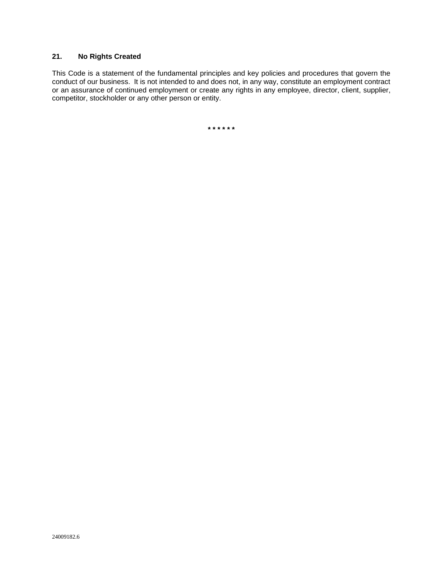# **21. No Rights Created**

This Code is a statement of the fundamental principles and key policies and procedures that govern the conduct of our business. It is not intended to and does not, in any way, constitute an employment contract or an assurance of continued employment or create any rights in any employee, director, client, supplier, competitor, stockholder or any other person or entity.

**\* \* \* \* \* \***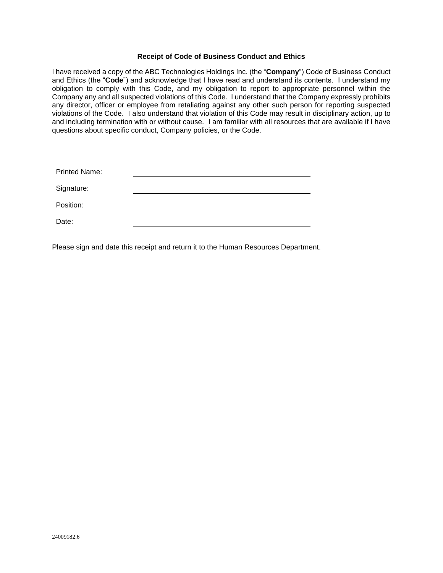### **Receipt of Code of Business Conduct and Ethics**

I have received a copy of the ABC Technologies Holdings Inc. (the "**Company**") Code of Business Conduct and Ethics (the "**Code**") and acknowledge that I have read and understand its contents. I understand my obligation to comply with this Code, and my obligation to report to appropriate personnel within the Company any and all suspected violations of this Code. I understand that the Company expressly prohibits any director, officer or employee from retaliating against any other such person for reporting suspected violations of the Code. I also understand that violation of this Code may result in disciplinary action, up to and including termination with or without cause. I am familiar with all resources that are available if I have questions about specific conduct, Company policies, or the Code.

| <b>Printed Name:</b> |  |
|----------------------|--|
| Signature:           |  |
| Position:            |  |
| Date:                |  |

Please sign and date this receipt and return it to the Human Resources Department.